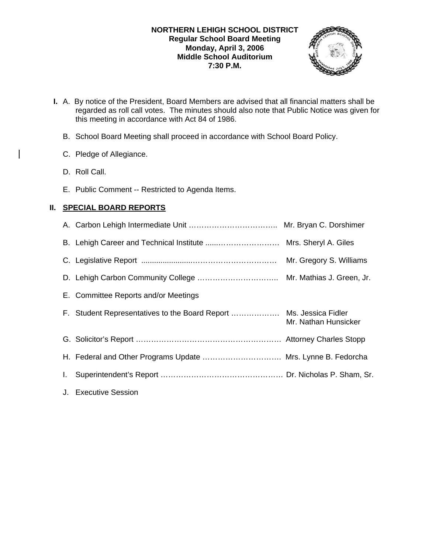## **NORTHERN LEHIGH SCHOOL DISTRICT Regular School Board Meeting Monday, April 3, 2006 Middle School Auditorium 7:30 P.M.**



- **I.** A. By notice of the President, Board Members are advised that all financial matters shall be regarded as roll call votes. The minutes should also note that Public Notice was given for this meeting in accordance with Act 84 of 1986.
	- B. School Board Meeting shall proceed in accordance with School Board Policy.
	- C. Pledge of Allegiance.
	- D. Roll Call.
	- E. Public Comment -- Restricted to Agenda Items.

# **II. SPECIAL BOARD REPORTS**

|    |                                                              | Mr. Gregory S. Williams |
|----|--------------------------------------------------------------|-------------------------|
|    |                                                              |                         |
|    | E. Committee Reports and/or Meetings                         |                         |
|    |                                                              | Mr. Nathan Hunsicker    |
|    |                                                              |                         |
|    | H. Federal and Other Programs Update  Mrs. Lynne B. Fedorcha |                         |
| I. |                                                              |                         |
|    | J. Executive Session                                         |                         |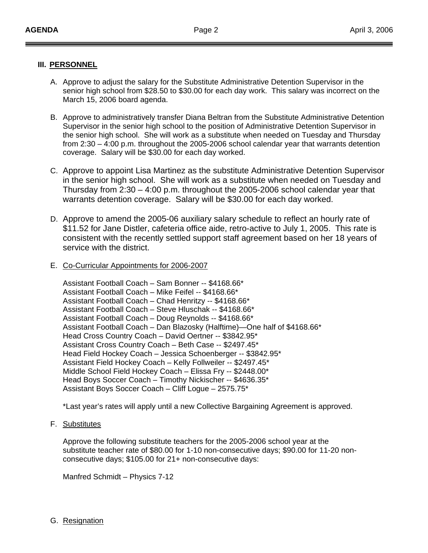### **III. PERSONNEL**

- A. Approve to adjust the salary for the Substitute Administrative Detention Supervisor in the senior high school from \$28.50 to \$30.00 for each day work. This salary was incorrect on the March 15, 2006 board agenda.
- B. Approve to administratively transfer Diana Beltran from the Substitute Administrative Detention Supervisor in the senior high school to the position of Administrative Detention Supervisor in the senior high school. She will work as a substitute when needed on Tuesday and Thursday from 2:30 – 4:00 p.m. throughout the 2005-2006 school calendar year that warrants detention coverage. Salary will be \$30.00 for each day worked.
- C. Approve to appoint Lisa Martinez as the substitute Administrative Detention Supervisor in the senior high school. She will work as a substitute when needed on Tuesday and Thursday from 2:30 – 4:00 p.m. throughout the 2005-2006 school calendar year that warrants detention coverage. Salary will be \$30.00 for each day worked.
- D. Approve to amend the 2005-06 auxiliary salary schedule to reflect an hourly rate of \$11.52 for Jane Distler, cafeteria office aide, retro-active to July 1, 2005. This rate is consistent with the recently settled support staff agreement based on her 18 years of service with the district.
- E. Co-Curricular Appointments for 2006-2007

Assistant Football Coach – Sam Bonner -- \$4168.66\* Assistant Football Coach – Mike Feifel -- \$4168.66\* Assistant Football Coach – Chad Henritzy -- \$4168.66\* Assistant Football Coach – Steve Hluschak -- \$4168.66\* Assistant Football Coach – Doug Reynolds -- \$4168.66\* Assistant Football Coach – Dan Blazosky (Halftime)—One half of \$4168.66\* Head Cross Country Coach – David Oertner -- \$3842.95\* Assistant Cross Country Coach – Beth Case -- \$2497.45\* Head Field Hockey Coach – Jessica Schoenberger -- \$3842.95\* Assistant Field Hockey Coach – Kelly Follweiler -- \$2497.45\* Middle School Field Hockey Coach – Elissa Fry -- \$2448.00\* Head Boys Soccer Coach – Timothy Nickischer -- \$4636.35\* Assistant Boys Soccer Coach – Cliff Logue – 2575.75\*

\*Last year's rates will apply until a new Collective Bargaining Agreement is approved.

### F. Substitutes

 Approve the following substitute teachers for the 2005-2006 school year at the substitute teacher rate of \$80.00 for 1-10 non-consecutive days; \$90.00 for 11-20 non consecutive days; \$105.00 for 21+ non-consecutive days:

Manfred Schmidt – Physics 7-12

# G. Resignation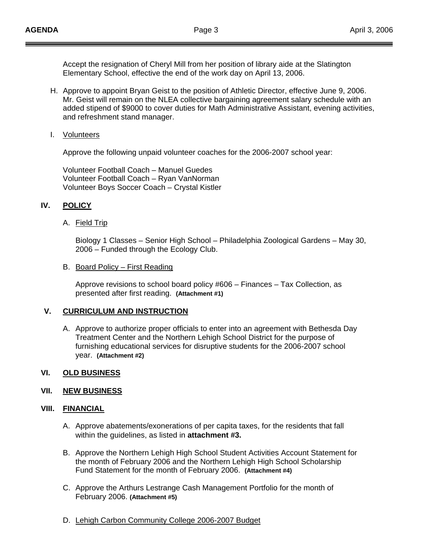Accept the resignation of Cheryl Mill from her position of library aide at the Slatington Elementary School, effective the end of the work day on April 13, 2006.

- H. Approve to appoint Bryan Geist to the position of Athletic Director, effective June 9, 2006. Mr. Geist will remain on the NLEA collective bargaining agreement salary schedule with an added stipend of \$9000 to cover duties for Math Administrative Assistant, evening activities, and refreshment stand manager.
- I. Volunteers

Approve the following unpaid volunteer coaches for the 2006-2007 school year:

Volunteer Football Coach – Manuel Guedes Volunteer Football Coach – Ryan VanNorman Volunteer Boys Soccer Coach – Crystal Kistler

## **IV. POLICY**

### A. Field Trip

Biology 1 Classes – Senior High School – Philadelphia Zoological Gardens – May 30, 2006 – Funded through the Ecology Club.

#### B. Board Policy – First Reading

Approve revisions to school board policy #606 – Finances – Tax Collection, as presented after first reading. **(Attachment #1)**

# **V. CURRICULUM AND INSTRUCTION**

A. Approve to authorize proper officials to enter into an agreement with Bethesda Day Treatment Center and the Northern Lehigh School District for the purpose of furnishing educational services for disruptive students for the 2006-2007 school year. **(Attachment #2)**

### **VI. OLD BUSINESS**

#### **VII. NEW BUSINESS**

#### **VIII. FINANCIAL**

- A. Approve abatements/exonerations of per capita taxes, for the residents that fall within the guidelines, as listed in **attachment #3.**
- B. Approve the Northern Lehigh High School Student Activities Account Statement for the month of February 2006 and the Northern Lehigh High School Scholarship Fund Statement for the month of February 2006. **(Attachment #4)**
- C. Approve the Arthurs Lestrange Cash Management Portfolio for the month of February 2006. **(Attachment #5)**
- D. Lehigh Carbon Community College 2006-2007 Budget